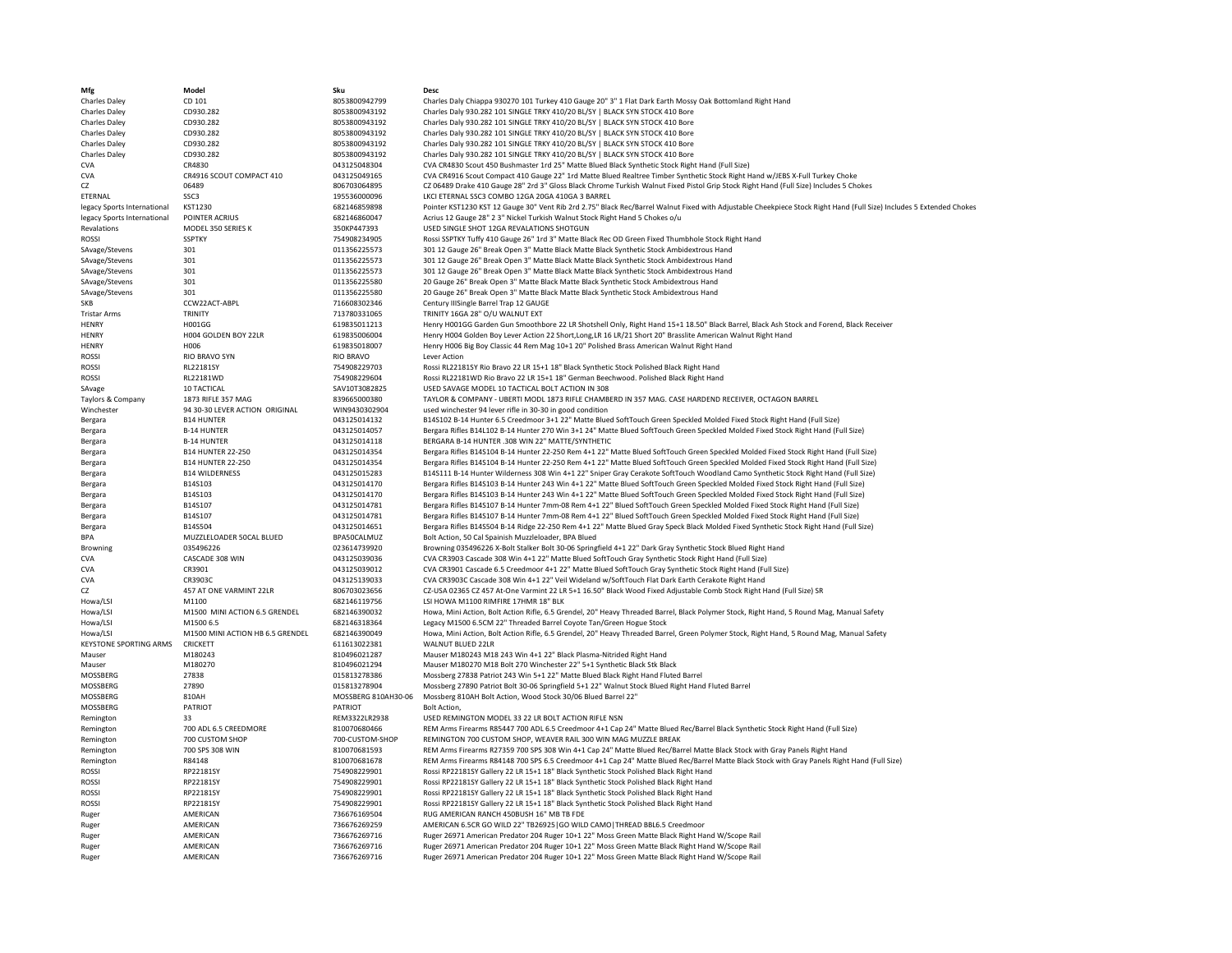| Mfg                           | Model                            | Sku                 | <b>Desc</b>                                                                                                                                                          |
|-------------------------------|----------------------------------|---------------------|----------------------------------------------------------------------------------------------------------------------------------------------------------------------|
| Charles Daley                 | CD 101                           | 8053800942799       | Charles Daly Chiappa 930270 101 Turkey 410 Gauge 20" 3" 1 Flat Dark Earth Mossy Oak Bottomland Right Hand                                                            |
| Charles Daley                 | CD930.282                        | 8053800943192       | Charles Daly 930.282 101 SINGLE TRKY 410/20 BL/SY   BLACK SYN STOCK 410 Bore                                                                                         |
| Charles Daley                 | CD930.282                        | 8053800943192       | Charles Daly 930.282 101 SINGLE TRKY 410/20 BL/SY   BLACK SYN STOCK 410 Bore                                                                                         |
| Charles Daley                 | CD930.282                        | 8053800943192       | Charles Daly 930.282 101 SINGLE TRKY 410/20 BL/SY   BLACK SYN STOCK 410 Bore                                                                                         |
|                               | CD930.282                        | 8053800943192       | Charles Daly 930.282 101 SINGLE TRKY 410/20 BL/SY   BLACK SYN STOCK 410 Bore                                                                                         |
| Charles Daley                 |                                  |                     |                                                                                                                                                                      |
| Charles Daley                 | CD930.282                        | 8053800943192       | Charles Daly 930.282 101 SINGLE TRKY 410/20 BL/SY   BLACK SYN STOCK 410 Bore                                                                                         |
| <b>CVA</b>                    | CR4830                           | 043125048304        | CVA CR4830 Scout 450 Bushmaster 1rd 25" Matte Blued Black Synthetic Stock Right Hand (Full Size)                                                                     |
| <b>CVA</b>                    | CR4916 SCOUT COMPACT 410         | 043125049165        | CVA CR4916 Scout Compact 410 Gauge 22" 1rd Matte Blued Realtree Timber Synthetic Stock Right Hand w/JEBS X-Full Turkey Choke                                         |
| CZ                            | 06489                            | 806703064895        | CZ 06489 Drake 410 Gauge 28" 2rd 3" Gloss Black Chrome Turkish Walnut Fixed Pistol Grip Stock Right Hand (Full Size) Includes 5 Chokes                               |
| ETERNAL                       | SSC3                             | 195536000096        | LKCI ETERNAL SSC3 COMBO 12GA 20GA 410GA 3 BARREL                                                                                                                     |
| legacy Sports International   | KST1230                          | 682146859898        | Pointer KST1230 KST 12 Gauge 30" Vent Rib 2rd 2.75" Black Rec/Barrel Walnut Fixed with Adjustable Cheekpiece Stock Right Hand (Full Size) Includes 5 Extended Chokes |
| legacy Sports International   | POINTER ACRIUS                   | 682146860047        | Acrius 12 Gauge 28" 2 3" Nickel Turkish Walnut Stock Right Hand 5 Chokes o/u                                                                                         |
| Revalations                   | MODEL 350 SERIES K               | 350KP447393         | USED SINGLE SHOT 12GA REVALATIONS SHOTGUN                                                                                                                            |
| <b>ROSSI</b>                  | <b>SSPTKY</b>                    | 754908234905        | Rossi SSPTKY Tuffy 410 Gauge 26" 1rd 3" Matte Black Rec OD Green Fixed Thumbhole Stock Right Hand                                                                    |
| SAvage/Stevens                | 301                              | 011356225573        | 301 12 Gauge 26" Break Open 3" Matte Black Matte Black Synthetic Stock Ambidextrous Hand                                                                             |
| SAvage/Stevens                | 301                              | 011356225573        | 301 12 Gauge 26" Break Open 3" Matte Black Matte Black Synthetic Stock Ambidextrous Hand                                                                             |
|                               | 301                              | 011356225573        | 301 12 Gauge 26" Break Open 3" Matte Black Matte Black Synthetic Stock Ambidextrous Hand                                                                             |
| SAvage/Stevens                | 301                              | 011356225580        |                                                                                                                                                                      |
| SAvage/Stevens                |                                  |                     | 20 Gauge 26" Break Open 3" Matte Black Matte Black Synthetic Stock Ambidextrous Hand                                                                                 |
| SAvage/Stevens                | 301                              | 011356225580        | 20 Gauge 26" Break Open 3" Matte Black Matte Black Synthetic Stock Ambidextrous Hand                                                                                 |
| SKB                           | CCW22ACT-ABPL                    | 716608302346        | Century IIISingle Barrel Trap 12 GAUGE                                                                                                                               |
| <b>Tristar Arms</b>           | TRINITY                          | 713780331065        | TRINITY 16GA 28" O/U WALNUT EXT                                                                                                                                      |
| <b>HENRY</b>                  | H001GG                           | 619835011213        | Henry H001GG Garden Gun Smoothbore 22 LR Shotshell Only, Right Hand 15+1 18.50" Black Barrel, Black Ash Stock and Forend, Black Receiver                             |
| <b>HENRY</b>                  | H004 GOLDEN BOY 22LR             | 619835006004        | Henry H004 Golden Boy Lever Action 22 Short, Long, LR 16 LR/21 Short 20" Brasslite American Walnut Right Hand                                                        |
| <b>HENRY</b>                  | H006                             | 619835018007        | Henry H006 Big Boy Classic 44 Rem Mag 10+1 20" Polished Brass American Walnut Right Hand                                                                             |
| <b>ROSSI</b>                  | <b>RIO BRAVO SYN</b>             | <b>RIO BRAVO</b>    | <b>Lever Action</b>                                                                                                                                                  |
| <b>ROSSI</b>                  | RL22181SY                        | 754908229703        | Rossi RL22181SY Rio Bravo 22 LR 15+1 18" Black Synthetic Stock Polished Black Right Hand                                                                             |
| <b>ROSSI</b>                  | <b>RL22181WD</b>                 | 754908229604        | Rossi RL22181WD Rio Bravo 22 LR 15+1 18" German Beechwood. Polished Black Right Hand                                                                                 |
|                               |                                  |                     |                                                                                                                                                                      |
| SAvage                        | <b>10 TACTICAL</b>               | SAV10T3082825       | USED SAVAGE MODEL 10 TACTICAL BOLT ACTION IN 308                                                                                                                     |
| Taylors & Company             | 1873 RIFLE 357 MAG               | 839665000380        | TAYLOR & COMPANY - UBERTI MODL 1873 RIFLE CHAMBERD IN 357 MAG. CASE HARDEND RECEIVER, OCTAGON BARREL                                                                 |
| Winchester                    | 94 30-30 LEVER ACTION ORIGINAL   | WIN9430302904       | used winchester 94 lever rifle in 30-30 in good condition                                                                                                            |
| Bergara                       | <b>B14 HUNTER</b>                | 043125014132        | B14S102 B-14 Hunter 6.5 Creedmoor 3+1 22" Matte Blued SoftTouch Green Speckled Molded Fixed Stock Right Hand (Full Size)                                             |
| Bergara                       | <b>B-14 HUNTER</b>               | 043125014057        | Bergara Rifles B14L102 B-14 Hunter 270 Win 3+1 24" Matte Blued SoftTouch Green Speckled Molded Fixed Stock Right Hand (Full Size)                                    |
| Bergara                       | <b>B-14 HUNTER</b>               | 043125014118        | BERGARA B-14 HUNTER .308 WIN 22" MATTE/SYNTHETIC                                                                                                                     |
| Bergara                       | <b>B14 HUNTER 22-250</b>         | 043125014354        | Bergara Rifles B14S104 B-14 Hunter 22-250 Rem 4+1 22" Matte Blued SoftTouch Green Speckled Molded Fixed Stock Right Hand (Full Size)                                 |
| Bergara                       | <b>B14 HUNTER 22-250</b>         | 043125014354        | Bergara Rifles B14S104 B-14 Hunter 22-250 Rem 4+1 22" Matte Blued SoftTouch Green Speckled Molded Fixed Stock Right Hand (Full Size)                                 |
| Bergara                       | <b>B14 WILDERNESS</b>            | 043125015283        | B14S111 B-14 Hunter Wilderness 308 Win 4+1 22" Sniper Gray Cerakote SoftTouch Woodland Camo Synthetic Stock Right Hand (Full Size)                                   |
|                               |                                  | 043125014170        | Bergara Rifles B14S103 B-14 Hunter 243 Win 4+1 22" Matte Blued SoftTouch Green Speckled Molded Fixed Stock Right Hand (Full Size)                                    |
| Bergara                       | B14S103                          |                     |                                                                                                                                                                      |
| Bergara                       | B14S103                          | 043125014170        | Bergara Rifles B14S103 B-14 Hunter 243 Win 4+1 22" Matte Blued SoftTouch Green Speckled Molded Fixed Stock Right Hand (Full Size)                                    |
| Bergara                       | B14S107                          | 043125014781        | Bergara Rifles B14S107 B-14 Hunter 7mm-08 Rem 4+1 22" Blued SoftTouch Green Speckled Molded Fixed Stock Right Hand (Full Size)                                       |
| Bergara                       | B14S107                          | 043125014781        | Bergara Rifles B14S107 B-14 Hunter 7mm-08 Rem 4+1 22" Blued SoftTouch Green Speckled Molded Fixed Stock Right Hand (Full Size)                                       |
| Bergara                       | B14S504                          | 043125014651        | Bergara Rifles B14S504 B-14 Ridge 22-250 Rem 4+1 22" Matte Blued Gray Speck Black Molded Fixed Synthetic Stock Right Hand (Full Size)                                |
| <b>BPA</b>                    | MUZZLELOADER 50CAL BLUED         | BPA50CALMUZ         | Bolt Action, 50 Cal Spainish Muzzleloader, BPA Blued                                                                                                                 |
| Browning                      | 035496226                        | 023614739920        | Browning 035496226 X-Bolt Stalker Bolt 30-06 Springfield 4+1 22" Dark Gray Synthetic Stock Blued Right Hand                                                          |
| <b>CVA</b>                    | CASCADE 308 WIN                  | 043125039036        | CVA CR3903 Cascade 308 Win 4+1 22" Matte Blued SoftTouch Gray Synthetic Stock Right Hand (Full Size)                                                                 |
| <b>CVA</b>                    | CR3901                           | 043125039012        | CVA CR3901 Cascade 6.5 Creedmoor 4+1 22" Matte Blued SoftTouch Gray Synthetic Stock Right Hand (Full Size)                                                           |
| <b>CVA</b>                    | CR3903C                          | 043125139033        | CVA CR3903C Cascade 308 Win 4+1 22" Veil Wideland w/SoftTouch Flat Dark Earth Cerakote Right Hand                                                                    |
| CZ                            | 457 AT ONE VARMINT 22LR          | 806703023656        | CZ-USA 02365 CZ 457 At-One Varmint 22 LR 5+1 16.50" Black Wood Fixed Adjustable Comb Stock Right Hand (Full Size) SR                                                 |
|                               | M1100                            |                     | LSI HOWA M1100 RIMFIRE 17HMR 18" BLK                                                                                                                                 |
| Howa/LSI                      |                                  | 682146119756        |                                                                                                                                                                      |
| Howa/LSI                      | M1500 MINI ACTION 6.5 GRENDEL    | 682146390032        | Howa, Mini Action, Bolt Action Rifle, 6.5 Grendel, 20" Heavy Threaded Barrel, Black Polymer Stock, Right Hand, 5 Round Mag, Manual Safety                            |
| Howa/LSI                      | M1500 6.5                        | 682146318364        | Legacy M1500 6.5CM 22" Threaded Barrel Coyote Tan/Green Hogue Stock                                                                                                  |
| Howa/LSI                      | M1500 MINI ACTION HB 6.5 GRENDEL | 682146390049        | Howa, Mini Action, Bolt Action Rifle, 6.5 Grendel, 20" Heavy Threaded Barrel, Green Polymer Stock, Right Hand, 5 Round Mag, Manual Safety                            |
| <b>KEYSTONE SPORTING ARMS</b> | CRICKETT                         | 611613022381        | WAI NUT BLUED 22LR                                                                                                                                                   |
| Mauser                        | M180243                          | 810496021287        | Mauser M180243 M18 243 Win 4+1 22" Black Plasma-Nitrided Right Hand                                                                                                  |
| Mauser                        | M180270                          | 810496021294        | Mauser M180270 M18 Bolt 270 Winchester 22" 5+1 Synthetic Black Stk Black                                                                                             |
| MOSSBERG                      | 27838                            | 015813278386        | Mossberg 27838 Patriot 243 Win 5+1 22" Matte Blued Black Right Hand Fluted Barrel                                                                                    |
| MOSSBERG                      | 27890                            | 015813278904        | Mossberg 27890 Patriot Bolt 30-06 Springfield 5+1 22" Walnut Stock Blued Right Hand Fluted Barrel                                                                    |
| MOSSBERG                      | 810AH                            | MOSSBERG 810AH30-06 | Mossberg 810AH Bolt Action, Wood Stock 30/06 Blued Barrel 22"                                                                                                        |
| MOSSBERG                      | PATRIOT                          | PATRIOT             | Bolt Action,                                                                                                                                                         |
|                               | 33                               | REM3322LR2938       | USED REMINGTON MODEL 33 22 LR BOLT ACTION RIFLE NSN                                                                                                                  |
| Remington                     |                                  |                     |                                                                                                                                                                      |
| Remington                     | 700 ADL 6.5 CREEDMORE            | 810070680466        | REM Arms Firearms R85447 700 ADL 6.5 Creedmoor 4+1 Cap 24" Matte Blued Rec/Barrel Black Synthetic Stock Right Hand (Full Size)                                       |
| Remington                     | 700 CUSTOM SHOP                  | 700-CUSTOM-SHOP     | REMINGTON 700 CUSTOM SHOP, WEAVER RAIL 300 WIN MAG MUZZLE BREAK                                                                                                      |
| Remington                     | 700 SPS 308 WIN                  | 810070681593        | REM Arms Firearms R27359 700 SPS 308 Win 4+1 Cap 24" Matte Blued Rec/Barrel Matte Black Stock with Gray Panels Right Hand                                            |
| Remington                     | R84148                           | 810070681678        | REM Arms Firearms R84148 700 SPS 6.5 Creedmoor 4+1 Cap 24" Matte Blued Rec/Barrel Matte Black Stock with Gray Panels Right Hand (Full Size)                          |
| <b>ROSSI</b>                  | RP22181SY                        | 754908229901        | Rossi RP22181SY Gallery 22 LR 15+1 18" Black Synthetic Stock Polished Black Right Hand                                                                               |
| <b>ROSSI</b>                  | RP22181SY                        | 754908229901        | Rossi RP22181SY Gallery 22 LR 15+1 18" Black Synthetic Stock Polished Black Right Hand                                                                               |
| <b>ROSSI</b>                  | RP22181SY                        | 754908229901        | Rossi RP22181SY Gallery 22 LR 15+1 18" Black Synthetic Stock Polished Black Right Hand                                                                               |
| <b>ROSSI</b>                  | RP22181SY                        | 754908229901        | Rossi RP22181SY Gallery 22 LR 15+1 18" Black Synthetic Stock Polished Black Right Hand                                                                               |
| Ruger                         | AMERICAN                         | 736676169504        | RUG AMERICAN RANCH 450BUSH 16" MB TB FDE                                                                                                                             |
| Ruger                         | AMERICAN                         | 736676269259        | AMERICAN 6.5CR GO WILD 22" TB26925 GO WILD CAMO   THREAD BBL6.5 Creedmoor                                                                                            |
|                               | AMERICAN                         | 736676269716        | Ruger 26971 American Predator 204 Ruger 10+1 22" Moss Green Matte Black Right Hand W/Scope Rail                                                                      |
| Ruger                         |                                  |                     |                                                                                                                                                                      |
| Ruger                         | <b>AMFRICAN</b>                  | 736676269716        | Ruger 26971 American Predator 204 Ruger 10+1 22" Moss Green Matte Black Right Hand W/Scope Rail                                                                      |
| Ruger                         | AMERICAN                         | 736676269716        | Ruger 26971 American Predator 204 Ruger 10+1 22" Moss Green Matte Black Right Hand W/Scope Rail                                                                      |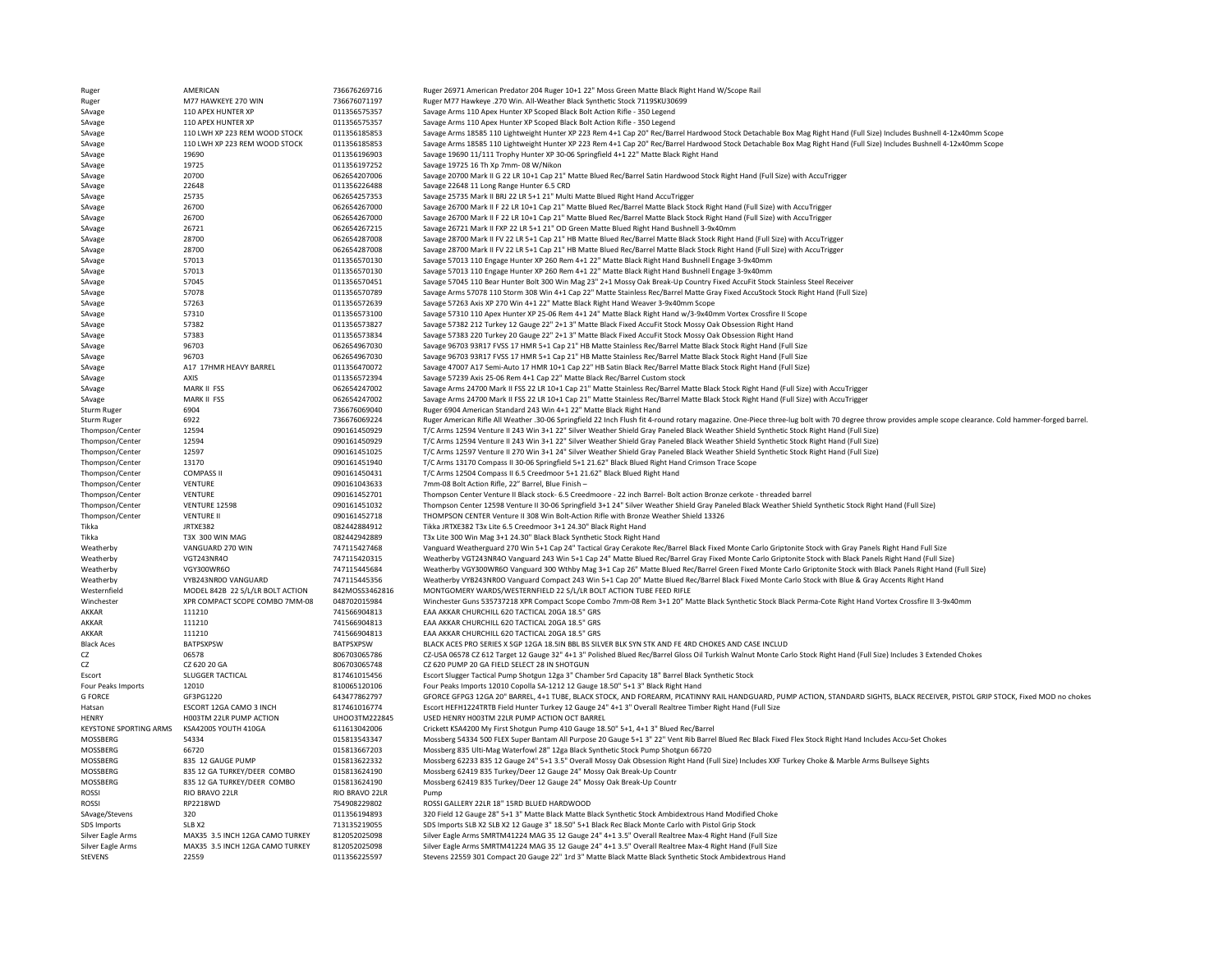| Ruger                         | AMERICAN                         | 736676269716     | Ruger 26971 American Predator 204 Ruger 10+1 22" Moss Green Matte Black Right Hand W/Scope Rail                                                                                                         |
|-------------------------------|----------------------------------|------------------|---------------------------------------------------------------------------------------------------------------------------------------------------------------------------------------------------------|
| Ruger                         | M77 HAWKEYE 270 WIN              | 736676071197     | Ruger M77 Hawkeye .270 Win. All-Weather Black Synthetic Stock 7119SKU30699                                                                                                                              |
| SAvage                        | 110 APEX HUNTER XP               | 011356575357     | Savage Arms 110 Apex Hunter XP Scoped Black Bolt Action Rifle - 350 Legend                                                                                                                              |
| SAvage                        | 110 APEX HUNTER XP               | 011356575357     | Savage Arms 110 Apex Hunter XP Scoped Black Bolt Action Rifle - 350 Legend                                                                                                                              |
| SAvage                        | 110 LWH XP 223 REM WOOD STOCK    | 011356185853     | Savage Arms 18585 110 Lightweight Hunter XP 223 Rem 4+1 Cap 20" Rec/Barrel Hardwood Stock Detachable Box Mag Right Hand (Full Size) Includes Bushnell 4-12x40mm Scope                                   |
| SAvage                        | 110 LWH XP 223 REM WOOD STOCK    | 011356185853     | Savage Arms 18585 110 Lightweight Hunter XP 223 Rem 4+1 Cap 20" Rec/Barrel Hardwood Stock Detachable Box Mag Right Hand (Full Size) Includes Bushnell 4-12x40mm Scope                                   |
| SAvage                        | 19690                            | 011356196903     | Savage 19690 11/111 Trophy Hunter XP 30-06 Springfield 4+1 22" Matte Black Right Hand                                                                                                                   |
| SAvage                        | 19725                            | 011356197252     | Savage 19725 16 Th Xp 7mm- 08 W/Nikon                                                                                                                                                                   |
| SAvage                        | 20700                            | 062654207006     | Savage 20700 Mark II G 22 LR 10+1 Cap 21" Matte Blued Rec/Barrel Satin Hardwood Stock Right Hand (Full Size) with AccuTrigger                                                                           |
| SAvage                        | 22648                            | 011356226488     | Savage 22648 11 Long Range Hunter 6.5 CRD                                                                                                                                                               |
|                               | 25735                            | 062654257353     | Savage 25735 Mark II BRJ 22 LR 5+1 21" Multi Matte Blued Right Hand AccuTrigger                                                                                                                         |
| SAvage                        | 26700                            | 062654267000     |                                                                                                                                                                                                         |
| SAvage                        |                                  |                  | Savage 26700 Mark II F 22 LR 10+1 Cap 21" Matte Blued Rec/Barrel Matte Black Stock Right Hand (Full Size) with AccuTrigger                                                                              |
| SAvage                        | 26700                            | 062654267000     | Savage 26700 Mark II F 22 LR 10+1 Cap 21" Matte Blued Rec/Barrel Matte Black Stock Right Hand (Full Size) with AccuTrigger                                                                              |
| SAvage                        | 26721                            | 062654267215     | Savage 26721 Mark II FXP 22 LR 5+1 21" OD Green Matte Blued Right Hand Bushnell 3-9x40mm                                                                                                                |
| SAvage                        | 28700                            | 062654287008     | Savage 28700 Mark II FV 22 LR 5+1 Cap 21" HB Matte Blued Rec/Barrel Matte Black Stock Right Hand (Full Size) with AccuTrigger                                                                           |
| SAvage                        | 28700                            | 062654287008     | Savage 28700 Mark II FV 22 LR 5+1 Cap 21" HB Matte Blued Rec/Barrel Matte Black Stock Right Hand (Full Size) with AccuTrigger                                                                           |
| SAvage                        | 57013                            | 011356570130     | Savage 57013 110 Engage Hunter XP 260 Rem 4+1 22" Matte Black Right Hand Bushnell Engage 3-9x40mm                                                                                                       |
| SAvage                        | 57013                            | 011356570130     | Savage 57013 110 Engage Hunter XP 260 Rem 4+1 22" Matte Black Right Hand Bushnell Engage 3-9x40mm                                                                                                       |
| SAvage                        | 57045                            | 011356570451     | Savage 57045 110 Bear Hunter Bolt 300 Win Mag 23" 2+1 Mossy Oak Break-Up Country Fixed AccuFit Stock Stainless Steel Receiver                                                                           |
| SAvage                        | 57078                            | 011356570789     | Savage Arms 57078 110 Storm 308 Win 4+1 Cap 22" Matte Stainless Rec/Barrel Matte Gray Fixed AccuStock Stock Right Hand (Full Size)                                                                      |
| SAvage                        | 57263                            | 011356572639     | Savage 57263 Axis XP 270 Win 4+1 22" Matte Black Right Hand Weaver 3-9x40mm Scope                                                                                                                       |
| SAvage                        | 57310                            | 011356573100     | Savage 57310 110 Apex Hunter XP 25-06 Rem 4+1 24" Matte Black Right Hand w/3-9x40mm Vortex Crossfire II Scope                                                                                           |
| SAvage                        | 57382                            | 011356573827     | Savage 57382 212 Turkey 12 Gauge 22" 2+1 3" Matte Black Fixed AccuFit Stock Mossy Oak Obsession Right Hand                                                                                              |
| SAvage                        | 57383                            | 011356573834     | Savage 57383 220 Turkey 20 Gauge 22" 2+1 3" Matte Black Fixed AccuFit Stock Mossy Oak Obsession Right Hand                                                                                              |
| SAvage                        | 96703                            | 062654967030     | Savage 96703 93R17 FVSS 17 HMR 5+1 Cap 21" HB Matte Stainless Rec/Barrel Matte Black Stock Right Hand (Full Size                                                                                        |
| SAvage                        | 96703                            | 062654967030     | Savage 96703 93R17 FVSS 17 HMR 5+1 Cap 21" HB Matte Stainless Rec/Barrel Matte Black Stock Right Hand (Full Size                                                                                        |
| SAvage                        | A17 17HMR HEAVY BARREL           | 011356470072     | Savage 47007 A17 Semi-Auto 17 HMR 10+1 Cap 22" HB Satin Black Rec/Barrel Matte Black Stock Right Hand (Full Size)                                                                                       |
| SAvage                        | AXIS                             | 011356572394     | Savage 57239 Axis 25-06 Rem 4+1 Cap 22" Matte Black Rec/Barrel Custom stock                                                                                                                             |
| SAvage                        | MARK II FSS                      | 062654247002     | Savage Arms 24700 Mark II FSS 22 LR 10+1 Cap 21" Matte Stainless Rec/Barrel Matte Black Stock Right Hand (Full Size) with AccuTrigger                                                                   |
| SAvage                        | MARK II FSS                      | 062654247002     | Savage Arms 24700 Mark II FSS 22 LR 10+1 Cap 21" Matte Stainless Rec/Barrel Matte Black Stock Right Hand (Full Size) with AccuTrigger                                                                   |
| Sturm Ruger                   | 6904                             | 736676069040     | Ruger 6904 American Standard 243 Win 4+1 22" Matte Black Right Hand                                                                                                                                     |
| Sturm Ruger                   | 6922                             | 736676069224     | Ruger American Rifle All Weather .30-06 Springfield 22 Inch Flush fit 4-round rotary magazine. One-Piece three-lug bolt with 70 degree throw provides ample scope clearance. Cold hammer-forged barrel. |
| Thompson/Center               | 12594                            | 090161450929     | T/C Arms 12594 Venture II 243 Win 3+1 22" Silver Weather Shield Gray Paneled Black Weather Shield Synthetic Stock Right Hand (Full Size)                                                                |
| Thompson/Center               | 12594                            | 090161450929     | T/C Arms 12594 Venture II 243 Win 3+1 22" Silver Weather Shield Gray Paneled Black Weather Shield Synthetic Stock Right Hand (Full Size)                                                                |
| Thompson/Center               | 12597                            | 090161451025     | T/C Arms 12597 Venture II 270 Win 3+1 24" Silver Weather Shield Gray Paneled Black Weather Shield Synthetic Stock Right Hand (Full Size)                                                                |
|                               | 13170                            | 090161451940     | T/C Arms 13170 Compass II 30-06 Springfield 5+1 21.62" Black Blued Right Hand Crimson Trace Scope                                                                                                       |
| Thompson/Center               |                                  |                  |                                                                                                                                                                                                         |
| Thompson/Center               | <b>COMPASS II</b>                | 090161450431     | T/C Arms 12504 Compass II 6.5 Creedmoor 5+1 21.62" Black Blued Right Hand                                                                                                                               |
| Thompson/Center               | <b>VENTURE</b>                   | 090161043633     | 7mm-08 Bolt Action Rifle, 22" Barrel, Blue Finish -                                                                                                                                                     |
| Thompson/Center               | VENTURE                          | 090161452701     | Thompson Center Venture II Black stock- 6.5 Creedmoore - 22 inch Barrel- Bolt action Bronze cerkote - threaded barrel                                                                                   |
| Thompson/Center               | <b>VENTURE 12598</b>             | 090161451032     | Thompson Center 12598 Venture II 30-06 Springfield 3+1 24" Silver Weather Shield Gray Paneled Black Weather Shield Synthetic Stock Right Hand (Full Size)                                               |
| Thompson/Center               | <b>VENTURE II</b>                | 090161452718     | THOMPSON CENTER Venture II 308 Win Bolt-Action Rifle with Bronze Weather Shield 13326                                                                                                                   |
| Tikka                         | <b>IRTXF382</b>                  | 082442884912     | Tikka JRTXE382 T3x Lite 6.5 Creedmoor 3+1 24.30" Black Right Hand                                                                                                                                       |
| Tikka                         | T3X 300 WIN MAG                  | 082442942889     | T3x Lite 300 Win Mag 3+1 24.30" Black Black Synthetic Stock Right Hand                                                                                                                                  |
| Weatherby                     | VANGUARD 270 WIN                 | 747115427468     | Vanguard Weatherguard 270 Win 5+1 Cap 24" Tactical Gray Cerakote Rec/Barrel Black Fixed Monte Carlo Griptonite Stock with Gray Panels Right Hand Full Size                                              |
| Weatherby                     | <b>VGT243NR4O</b>                | 747115420315     | Weatherby VGT243NR4O Vanguard 243 Win 5+1 Cap 24" Matte Blued Rec/Barrel Gray Fixed Monte Carlo Griptonite Stock with Black Panels Right Hand (Full Size)                                               |
| Weatherby                     | VGY300WR6O                       | 747115445684     | Weatherby VGY300WR6O Vanguard 300 Wthby Mag 3+1 Cap 26" Matte Blued Rec/Barrel Green Fixed Monte Carlo Griptonite Stock with Black Panels Right Hand (Full Size)                                        |
| Weatherby                     | VYB243NR0O VANGUARD              | 747115445356     | Weatherby VYB243NR0O Vanguard Compact 243 Win 5+1 Cap 20" Matte Blued Rec/Barrel Black Fixed Monte Carlo Stock with Blue & Gray Accents Right Hand                                                      |
| Westernfield                  | MODEL 842B 22 S/L/LR BOLT ACTION | 842MOSS3462816   | MONTGOMERY WARDS/WESTERNFIELD 22 S/L/LR BOLT ACTION TUBE FEED RIFLE                                                                                                                                     |
| Winchester                    | XPR COMPACT SCOPE COMBO 7MM-08   | 048702015984     | Winchester Guns 535737218 XPR Compact Scope Combo 7mm-08 Rem 3+1 20" Matte Black Synthetic Stock Black Perma-Cote Right Hand Vortex Crossfire II 3-9x40mm                                               |
| <b>AKKAR</b>                  | 111210                           | 741566904813     | EAA AKKAR CHURCHILL 620 TACTICAL 20GA 18.5" GRS                                                                                                                                                         |
| <b>AKKAR</b>                  | 111210                           | 741566904813     | EAA AKKAR CHURCHILL 620 TACTICAL 20GA 18.5" GRS                                                                                                                                                         |
| AKKAR                         | 111210                           | 741566904813     | EAA AKKAR CHURCHILL 620 TACTICAL 20GA 18.5" GRS                                                                                                                                                         |
| <b>Black Aces</b>             | <b>BATPSXPSW</b>                 | <b>BATPSXPSW</b> | BLACK ACES PRO SERIES X SGP 12GA 18.5IN BBL BS SILVER BLK SYN STK AND FE 4RD CHOKES AND CASE INCLUD                                                                                                     |
| CZ                            | 06578                            | 806703065786     | CZ-USA 06578 CZ 612 Target 12 Gauge 32" 4+1 3" Polished Blued Rec/Barrel Gloss Oil Turkish Walnut Monte Carlo Stock Right Hand (Full Size) Includes 3 Extended Chokes                                   |
| CZ                            | CZ 620 20 GA                     | 806703065748     | CZ 620 PUMP 20 GA FIELD SELECT 28 IN SHOTGUN                                                                                                                                                            |
| Escort                        | <b>SLUGGER TACTICAL</b>          | 817461015456     | Escort Slugger Tactical Pump Shotgun 12ga 3" Chamber 5rd Capacity 18" Barrel Black Synthetic Stock                                                                                                      |
| Four Peaks Imports            | 12010                            | 810065120106     | Four Peaks Imports 12010 Copolla SA-1212 12 Gauge 18.50" 5+1 3" Black Right Hand                                                                                                                        |
| <b>G FORCE</b>                | GF3PG1220                        | 643477862797     | GFORCE GFPG3 12GA 20" BARREL, 4+1 TUBE, BLACK STOCK, AND FOREARM, PICATINNY RAIL HANDGUARD, PUMP ACTION, STANDARD SIGHTS, BLACK RECEIVER, PISTOL GRIP STOCK, Fixed MOD no chokes                        |
| Hatsan                        | ESCORT 12GA CAMO 3 INCH          | 817461016774     | Escort HEFH1224TRTB Field Hunter Turkey 12 Gauge 24" 4+1 3" Overall Realtree Timber Right Hand (Full Size                                                                                               |
| <b>HENRY</b>                  | H003TM 22LR PUMP ACTION          | UHOO3TM222845    | USED HENRY H003TM 22LR PUMP ACTION OCT BARREL                                                                                                                                                           |
| <b>KEYSTONE SPORTING ARMS</b> | KSA4200S YOUTH 410GA             | 611613042006     | Crickett KSA4200 My First Shotgun Pump 410 Gauge 18.50" 5+1, 4+1 3" Blued Rec/Barrel                                                                                                                    |
| MOSSBERG                      | 54334                            | 015813543347     | Mossberg 54334 500 FLEX Super Bantam All Purpose 20 Gauge 5+1 3" 22" Vent Rib Barrel Blued Rec Black Fixed Flex Stock Right Hand Includes Accu-Set Chokes                                               |
| MOSSBERG                      | 66720                            | 015813667203     | Mossberg 835 Ulti-Mag Waterfowl 28" 12ga Black Synthetic Stock Pump Shotgun 66720                                                                                                                       |
|                               |                                  |                  |                                                                                                                                                                                                         |
| MOSSBERG                      | 835 12 GAUGE PUMP                | 015813622332     | Mossberg 62233 835 12 Gauge 24" 5+1 3.5" Overall Mossy Oak Obsession Right Hand (Full Size) Includes XXF Turkey Choke & Marble Arms Bullseye Sights                                                     |
| MOSSBERG                      | 835 12 GA TURKEY/DEER COMBO      | 015813624190     | Mossberg 62419 835 Turkey/Deer 12 Gauge 24" Mossy Oak Break-Up Countr                                                                                                                                   |
| MOSSBERG                      | 835 12 GA TURKEY/DEER COMBO      | 015813624190     | Mossberg 62419 835 Turkey/Deer 12 Gauge 24" Mossy Oak Break-Up Countr                                                                                                                                   |
| <b>ROSSI</b>                  | RIO BRAVO 22LR                   | RIO BRAVO 22LR   | Pump                                                                                                                                                                                                    |
| ROSSI                         | RP2218WD                         | 754908229802     | ROSSI GALLERY 22LR 18" 15RD BLUED HARDWOOD                                                                                                                                                              |
| SAvage/Stevens                | 320                              | 011356194893     | 320 Field 12 Gauge 28" 5+1 3" Matte Black Matte Black Synthetic Stock Ambidextrous Hand Modified Choke                                                                                                  |
| SDS Imports                   | SLB X2                           | 713135219055     | SDS Imports SLB X2 SLB X2 12 Gauge 3" 18.50" 5+1 Black Rec Black Monte Carlo with Pistol Grip Stock                                                                                                     |
| Silver Eagle Arms             | MAX35 3.5 INCH 12GA CAMO TURKEY  | 812052025098     | Silver Eagle Arms SMRTM41224 MAG 35 12 Gauge 24" 4+1 3.5" Overall Realtree Max-4 Right Hand (Full Size                                                                                                  |
| Silver Eagle Arms             | MAX35 3.5 INCH 12GA CAMO TURKEY  | 812052025098     | Silver Eagle Arms SMRTM41224 MAG 35 12 Gauge 24" 4+1 3.5" Overall Realtree Max-4 Right Hand (Full Size                                                                                                  |
| StEVENS                       | 22559                            | 011356225597     | Stevens 22559 301 Compact 20 Gauge 22" 1rd 3" Matte Black Matte Black Synthetic Stock Ambidextrous Hand                                                                                                 |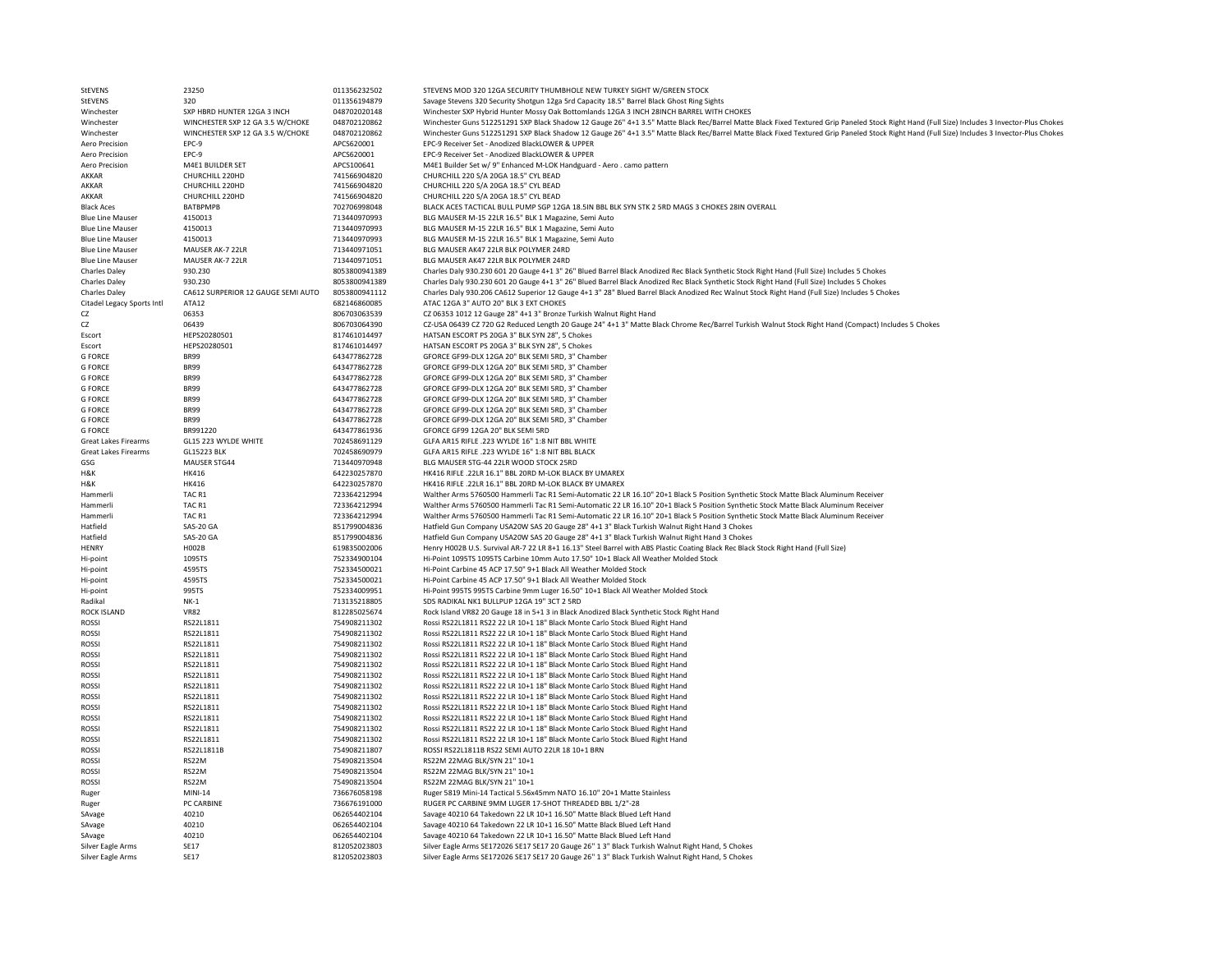| StEVENS                          | 23250                              | 011356232502                 | STEVENS MOD 320 12GA SECURITY THUMBHOLE NEW TURKEY SIGHT W/GREEN STOCK                                                                                                                       |
|----------------------------------|------------------------------------|------------------------------|----------------------------------------------------------------------------------------------------------------------------------------------------------------------------------------------|
| StEVENS                          | 320                                | 011356194879                 | Savage Stevens 320 Security Shotgun 12ga 5rd Capacity 18.5" Barrel Black Ghost Ring Sights                                                                                                   |
| Winchester                       | SXP HBRD HUNTER 12GA 3 INCH        | 048702020148                 | Winchester SXP Hybrid Hunter Mossy Oak Bottomlands 12GA 3 INCH 28INCH BARREL WITH CHOKES                                                                                                     |
| Winchester                       | WINCHESTER SXP 12 GA 3.5 W/CHOKE   | 048702120862                 | Winchester Guns 512251291 SXP Black Shadow 12 Gauge 26" 4+1 3.5" Matte Black Rec/Barrel Matte Black Fixed Textured Grip Paneled Stock Right Hand (Full Size) Includes 3 Invector-Plus Chokes |
| Winchester                       | WINCHESTER SXP 12 GA 3.5 W/CHOKE   | 048702120862                 | Winchester Guns 512251291 SXP Black Shadow 12 Gauge 26" 4+1 3.5" Matte Black Rec/Barrel Matte Black Fixed Textured Grip Paneled Stock Right Hand (Full Size) Includes 3 Invector-Plus Chokes |
| Aero Precision                   | EPC-9                              | APCS620001                   | EPC-9 Receiver Set - Anodized BlackLOWER & UPPER                                                                                                                                             |
| Aero Precision                   | EPC-9                              | APCS620001                   | EPC-9 Receiver Set - Anodized BlackLOWER & UPPER                                                                                                                                             |
| Aero Precision<br>AKKAR          | M4E1 BUILDER SET                   | APCS100641                   | M4E1 Builder Set w/ 9" Enhanced M-LOK Handguard - Aero . camo pattern                                                                                                                        |
| AKKAR                            | CHURCHILL 220HD<br>CHURCHILL 220HD | 741566904820                 | CHURCHILL 220 S/A 20GA 18.5" CYL BEAD<br>CHURCHILL 220 S/A 20GA 18.5" CYL BEAD                                                                                                               |
| AKKAR                            | CHURCHILL 220HD                    | 741566904820<br>741566904820 | CHURCHILL 220 S/A 20GA 18.5" CYL BEAD                                                                                                                                                        |
| <b>Black Aces</b>                | <b>BATBPMPB</b>                    | 702706998048                 | BLACK ACES TACTICAL BULL PUMP SGP 12GA 18.5IN BBL BLK SYN STK 2 5RD MAGS 3 CHOKES 28IN OVERALL                                                                                               |
| <b>Blue Line Mauser</b>          | 4150013                            | 713440970993                 | BLG MAUSER M-15 22LR 16.5" BLK 1 Magazine, Semi Auto                                                                                                                                         |
| <b>Blue Line Mauser</b>          | 4150013                            | 713440970993                 | BLG MAUSER M-15 22LR 16.5" BLK 1 Magazine, Semi Auto                                                                                                                                         |
| <b>Blue Line Mauser</b>          | 4150013                            | 713440970993                 | BLG MAUSER M-15 22LR 16.5" BLK 1 Magazine, Semi Auto                                                                                                                                         |
| <b>Blue Line Mauser</b>          | MAUSER AK-7 22LR                   | 713440971051                 | BLG MAUSER AK47 22LR BLK POLYMER 24RD                                                                                                                                                        |
| <b>Blue Line Mauser</b>          | MAUSER AK-7 22LR                   | 713440971051                 | BLG MAUSER AK47 22LR BLK POLYMER 24RD                                                                                                                                                        |
| <b>Charles Daley</b>             | 930.230                            | 8053800941389                | Charles Daly 930.230 601 20 Gauge 4+1 3" 26" Blued Barrel Black Anodized Rec Black Synthetic Stock Right Hand (Full Size) Includes 5 Chokes                                                  |
| <b>Charles Daley</b>             | 930.230                            | 8053800941389                | Charles Daly 930.230 601 20 Gauge 4+1 3" 26" Blued Barrel Black Anodized Rec Black Synthetic Stock Right Hand (Full Size) Includes 5 Chokes                                                  |
| <b>Charles Daley</b>             | CA612 SURPERIOR 12 GAUGE SEMI AUTO | 8053800941112                | Charles Daly 930.206 CA612 Superior 12 Gauge 4+1 3" 28" Blued Barrel Black Anodized Rec Walnut Stock Right Hand (Full Size) Includes 5 Chokes                                                |
| Citadel Legacy Sports Intl       | ATA12                              | 682146860085                 | ATAC 12GA 3" AUTO 20" BLK 3 EXT CHOKES                                                                                                                                                       |
| CZ                               | 06353                              | 806703063539                 | CZ 06353 1012 12 Gauge 28" 4+1 3" Bronze Turkish Walnut Right Hand                                                                                                                           |
| CZ                               | 06439                              | 806703064390                 | CZ-USA 06439 CZ 720 G2 Reduced Length 20 Gauge 24" 4+1 3" Matte Black Chrome Rec/Barrel Turkish Walnut Stock Right Hand (Compact) Includes 5 Chokes                                          |
| Escort                           | HEPS20280501                       | 817461014497                 | HATSAN ESCORT PS 20GA 3" BLK SYN 28", 5 Chokes                                                                                                                                               |
| Escort                           | HEPS20280501                       | 817461014497                 | HATSAN ESCORT PS 20GA 3" BLK SYN 28", 5 Chokes                                                                                                                                               |
| <b>G FORCE</b>                   | <b>BR99</b>                        | 643477862728                 | GFORCE GF99-DLX 12GA 20" BLK SEMI 5RD, 3" Chamber                                                                                                                                            |
| <b>G FORCE</b>                   | <b>BR99</b>                        | 643477862728                 | GFORCE GF99-DLX 12GA 20" BLK SEMI 5RD, 3" Chamber                                                                                                                                            |
| <b>G FORCE</b><br><b>G FORCE</b> | <b>BR99</b><br><b>BR99</b>         | 643477862728<br>643477862728 | GFORCE GF99-DLX 12GA 20" BLK SEMI 5RD, 3" Chamber                                                                                                                                            |
| <b>G FORCE</b>                   | <b>BR99</b>                        |                              | GFORCE GF99-DLX 12GA 20" BLK SEMI 5RD, 3" Chamber<br>GFORCE GF99-DLX 12GA 20" BLK SEMI 5RD, 3" Chamber                                                                                       |
| <b>G FORCE</b>                   | <b>BR99</b>                        | 643477862728<br>643477862728 | GFORCE GF99-DLX 12GA 20" BLK SEMI 5RD, 3" Chamber                                                                                                                                            |
| <b>G FORCE</b>                   | <b>BR99</b>                        | 643477862728                 | GFORCE GF99-DLX 12GA 20" BLK SEMI 5RD, 3" Chamber                                                                                                                                            |
| <b>G FORCE</b>                   | BR991220                           | 643477861936                 | GFORCE GF99 12GA 20" BLK SEMI 5RD                                                                                                                                                            |
| Great Lakes Firearms             | GL15 223 WYLDE WHITE               | 702458691129                 | GLFA AR15 RIFLE .223 WYLDE 16" 1:8 NIT BBL WHITE                                                                                                                                             |
| Great Lakes Firearms             | <b>GL15223 BLK</b>                 | 702458690979                 | GLFA AR15 RIFLE .223 WYLDE 16" 1:8 NIT BBL BLACK                                                                                                                                             |
| GSG                              | MAUSER STG44                       | 713440970948                 | BLG MAUSER STG-44 22LR WOOD STOCK 25RD                                                                                                                                                       |
| H&K                              | HK416                              | 642230257870                 | HK416 RIFLE .22LR 16.1" BBL 20RD M-LOK BLACK BY UMAREX                                                                                                                                       |
| H&K                              | HK416                              | 642230257870                 | HK416 RIFLE .22LR 16.1" BBL 20RD M-LOK BLACK BY UMAREX                                                                                                                                       |
| Hammerli                         | TAC R1                             | 723364212994                 | Walther Arms 5760500 Hammerli Tac R1 Semi-Automatic 22 LR 16.10" 20+1 Black 5 Position Synthetic Stock Matte Black Aluminum Receiver                                                         |
| Hammerli                         | TAC R1                             | 723364212994                 | Walther Arms 5760500 Hammerli Tac R1 Semi-Automatic 22 LR 16.10" 20+1 Black 5 Position Synthetic Stock Matte Black Aluminum Receiver                                                         |
| Hammerli                         | TAC R1                             | 723364212994                 | Walther Arms 5760500 Hammerli Tac R1 Semi-Automatic 22 LR 16.10" 20+1 Black 5 Position Synthetic Stock Matte Black Aluminum Receiver                                                         |
| Hatfield                         | SAS-20 GA                          | 851799004836                 | Hatfield Gun Company USA20W SAS 20 Gauge 28" 4+1 3" Black Turkish Walnut Right Hand 3 Chokes                                                                                                 |
| Hatfield                         | SAS-20 GA                          | 851799004836                 | Hatfield Gun Company USA20W SAS 20 Gauge 28" 4+1 3" Black Turkish Walnut Right Hand 3 Chokes                                                                                                 |
| HENRY                            | H002B                              | 619835002006                 | Henry H002B U.S. Survival AR-7 22 LR 8+1 16.13" Steel Barrel with ABS Plastic Coating Black Rec Black Stock Right Hand (Full Size)                                                           |
| Hi-point<br>Hi-point             | 1095TS<br>4595TS                   | 752334900104<br>752334500021 | Hi-Point 1095TS 1095TS Carbine 10mm Auto 17.50" 10+1 Black All Weather Molded Stock<br>Hi-Point Carbine 45 ACP 17.50" 9+1 Black All Weather Molded Stock                                     |
| Hi-point                         | 4595TS                             | 752334500021                 | Hi-Point Carbine 45 ACP 17.50" 9+1 Black All Weather Molded Stock                                                                                                                            |
| Hi-point                         | 995TS                              | 752334009951                 | Hi-Point 995TS 995TS Carbine 9mm Luger 16.50" 10+1 Black All Weather Molded Stock                                                                                                            |
| Radikal                          | $NK-1$                             | 713135218805                 | SDS RADIKAL NK1 BULLPUP 12GA 19" 3CT 2 5RD                                                                                                                                                   |
| ROCK ISLAND                      | <b>VR82</b>                        | 812285025674                 | Rock Island VR82 20 Gauge 18 in 5+1 3 in Black Anodized Black Synthetic Stock Right Hand                                                                                                     |
| <b>ROSSI</b>                     | RS22L1811                          | 754908211302                 | Rossi RS22L1811 RS22 22 LR 10+1 18" Black Monte Carlo Stock Blued Right Hand                                                                                                                 |
| <b>ROSSI</b>                     | RS22L1811                          | 754908211302                 | Rossi RS22L1811 RS22 22 LR 10+1 18" Black Monte Carlo Stock Blued Right Hand                                                                                                                 |
| <b>ROSSI</b>                     | RS22L1811                          | 754908211302                 | Rossi RS22L1811 RS22 22 LR 10+1 18" Black Monte Carlo Stock Blued Right Hand                                                                                                                 |
| <b>ROSSI</b>                     | RS22L1811                          | 754908211302                 | Rossi RS22L1811 RS22 22 LR 10+1 18" Black Monte Carlo Stock Blued Right Hand                                                                                                                 |
| <b>ROSSI</b>                     | RS22L1811                          | 754908211302                 | Rossi RS22L1811 RS22 22 LR 10+1 18" Black Monte Carlo Stock Blued Right Hand                                                                                                                 |
| <b>ROSSI</b>                     | RS2211811                          | 754908211302                 | Rossi RS22L1811 RS22 22 LR 10+1 18" Black Monte Carlo Stock Blued Right Hand                                                                                                                 |
| <b>ROSSI</b>                     | RS22L1811                          | 754908211302                 | Rossi RS22L1811 RS22 22 LR 10+1 18" Black Monte Carlo Stock Blued Right Hand                                                                                                                 |
| <b>ROSSI</b>                     | RS22L1811                          | 754908211302                 | Rossi RS22L1811 RS22 22 LR 10+1 18" Black Monte Carlo Stock Blued Right Hand                                                                                                                 |
| <b>ROSSI</b>                     | RS22L1811                          | 754908211302                 | Rossi RS22L1811 RS22 22 LR 10+1 18" Black Monte Carlo Stock Blued Right Hand                                                                                                                 |
| <b>ROSSI</b>                     | RS22L1811                          | 754908211302                 | Rossi RS22L1811 RS22 22 LR 10+1 18" Black Monte Carlo Stock Blued Right Hand                                                                                                                 |
| <b>ROSSI</b><br><b>ROSS</b>      | RS22L1811<br>RS22L1811             | 754908211302<br>754908211302 | Rossi RS22L1811 RS22 22 LR 10+1 18" Black Monte Carlo Stock Blued Right Hand<br>Rossi RS22L1811 RS22 22 LR 10+1 18" Black Monte Carlo Stock Blued Right Hand                                 |
| <b>ROSSI</b>                     | RS22L1811B                         | 754908211807                 | ROSSI RS22L1811B RS22 SEMI AUTO 22LR 18 10+1 BRN                                                                                                                                             |
| <b>ROSSI</b>                     | RS22M                              | 754908213504                 | RS22M 22MAG BLK/SYN 21" 10+1                                                                                                                                                                 |
| <b>ROSSI</b>                     | RS22M                              | 754908213504                 | RS22M 22MAG BLK/SYN 21" 10+1                                                                                                                                                                 |
| <b>ROSSI</b>                     | RS22M                              | 754908213504                 | RS22M 22MAG BLK/SYN 21" 10+1                                                                                                                                                                 |
| Ruger                            | MINI-14                            | 736676058198                 | Ruger 5819 Mini-14 Tactical 5.56x45mm NATO 16.10" 20+1 Matte Stainless                                                                                                                       |
| Ruger                            | PC CARBINE                         | 736676191000                 | RUGER PC CARBINE 9MM LUGER 17-SHOT THREADED BBL 1/2"-28                                                                                                                                      |
| SAvage                           | 40210                              | 062654402104                 | Savage 40210 64 Takedown 22 LR 10+1 16.50" Matte Black Blued Left Hand                                                                                                                       |
| SAvage                           | 40210                              | 062654402104                 | Savage 40210 64 Takedown 22 LR 10+1 16.50" Matte Black Blued Left Hand                                                                                                                       |
| SAvage                           | 40210                              | 062654402104                 | Savage 40210 64 Takedown 22 LR 10+1 16.50" Matte Black Blued Left Hand                                                                                                                       |
| Silver Eagle Arms                | SF17                               | 812052023803                 | Silver Eagle Arms SE172026 SE17 SE17 20 Gauge 26" 1 3" Black Turkish Walnut Right Hand, 5 Chokes                                                                                             |
| Silver Eagle Arms                | <b>SF17</b>                        | 812052023803                 | Silver Eagle Arms SE172026 SE17 SE17 20 Gauge 26" 1 3" Black Turkish Walnut Right Hand, 5 Chokes                                                                                             |